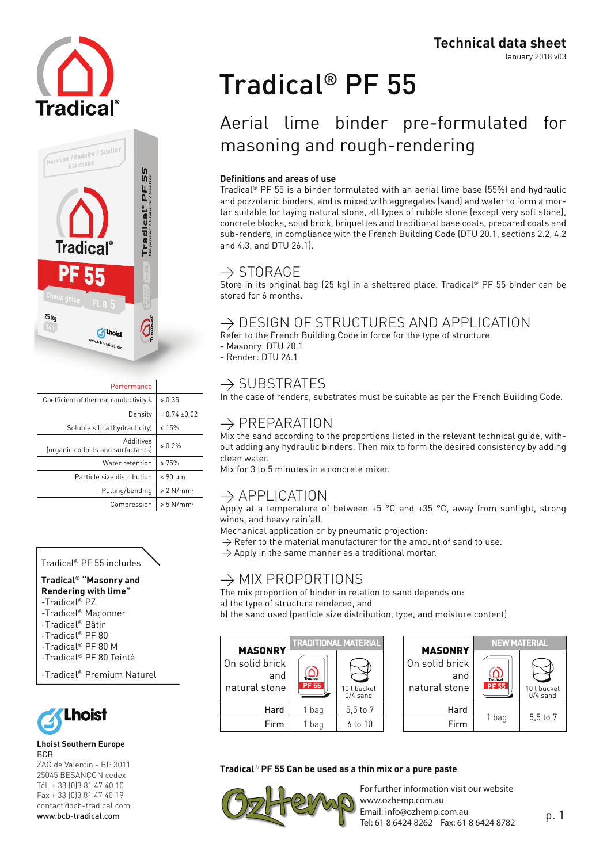



|                                 | Performance                                            |
|---------------------------------|--------------------------------------------------------|
| $\le 0.35$                      | Coefficient of thermal conductivity $\lambda$          |
| $= 0.74 \pm 0.02$               | Density                                                |
| $\leq 15\%$                     | Soluble silica (hydraulicity)                          |
| $\leq 0.2\%$                    | <b>PavitibbA</b><br>(organic colloids and surfactants) |
| > 75%                           | Water retention                                        |
| < 90 µm                         | Particle size distribution                             |
| $\geq 2$ N/mm <sup>2</sup>      | Pulling/bending                                        |
| $\geqslant$ 5 N/mm <sup>2</sup> | Compression                                            |

#### Tradical® PF 55 includes

#### **Tradical® "Masonry and Rendering with lime"**

-Tradical® PZ

- -Tradical® Maçonner
- -Tradical® Bâtir
- -Tradical® PF 80
- -Tradical® PF 80 M
- -Tradical® PF 80 Teinté

```
-Tradical® Premium Naturel
```


#### **Lhoist Southern Europe BCB**

ZAC de Valentin - BP 3011 25045 BESANçON cedex Tél. + 33 (0)3 81 47 40 10 Fax + 33 (0)3 81 47 40 19 contact@bcb-tradical.com www.bcb-tradical.com

# Tradical® PF 55

# Aerial lime binder pre-formulated for masoning and rough-rendering

#### **Definitions and areas of use**

Tradical® PF 55 is a binder formulated with an aerial lime base (55%) and hydraulic and pozzolanic binders, and is mixed with aggregates (sand) and water to form a mortar suitable for laying natural stone, all types of rubble stone (except very soft stone), concrete blocks, solid brick, briquettes and traditional base coats, prepared coats and sub-renders, in compliance with the French Building Code (DTU 20.1, sections 2.2, 4.2 and 4.3, and DTU 26.1).

### $\rightarrow$  STORAGE

Store in its original bag (25 kg) in a sheltered place. Tradical® PF 55 binder can be stored for 6 months.

## $\rightarrow$  DESIGN OF STRUCTURES AND APPLICATION

Refer to the French Building Code in force for the type of structure.

- Masonry: DTU 20.1
- Render: DTU 26.1

## $\rightarrow$  SUBSTRATES

In the case of renders, substrates must be suitable as per the French Building Code.

## $\rightarrow$  PREPARATION

Mix the sand according to the proportions listed in the relevant technical guide, without adding any hydraulic binders. Then mix to form the desired consistency by adding clean water.

Mix for 3 to 5 minutes in a concrete mixer.

## $\rightarrow$  APPLICATION

Apply at a temperature of between  $+5$  °C and  $+35$  °C, away from sunlight, strong winds, and heavy rainfall.

Mechanical application or by pneumatic projection:

- $\rightarrow$  Refer to the material manufacturer for the amount of sand to use.
- $\rightarrow$  Apply in the same manner as a traditional mortar.

## $\rightarrow$  MIX PROPORTIONS

The mix proportion of binder in relation to sand depends on: a) the type of structure rendered, and

b) the sand used (particle size distribution, type, and moisture content)

|                                                          | <b>TRADITIONAL MATERIAL</b>     |                           |                                                          | <b>NEW MATERIAL</b>      |                           |
|----------------------------------------------------------|---------------------------------|---------------------------|----------------------------------------------------------|--------------------------|---------------------------|
| <b>MASONRY</b><br>On solid brick<br>and<br>natural stone | <b>Tradical</b><br><b>PF 55</b> | 10 l bucket<br>$0/4$ sand | <b>MASONRY</b><br>On solid brick<br>and<br>natural stone | Tradical<br><b>PF 55</b> | 10 l bucket<br>$0/4$ sand |
| Hard                                                     | 1 bag                           | 5.5 to 7                  | Hard                                                     |                          |                           |
| Firm                                                     | l bag                           | 6 to 10                   | Firm                                                     | 1 bag                    | $5.5$ to $7$              |

#### **Tradical**® **PF 55 Can be used as a thin mix or a pure paste**

For further information visit our website www.ozhemp.com.au Email: info@ozhemp.com.au Tel: 61 8 6424 8262 Fax: 61 8 6424 8782